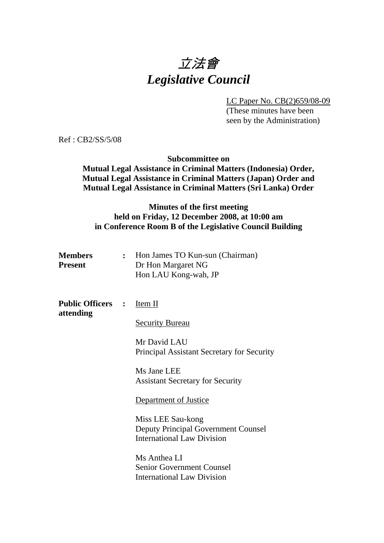# 立法會 *Legislative Council*

LC Paper No. CB(2)659/08-09

(These minutes have been seen by the Administration)

 $Ref \cdot CR2/SS/5/08$ 

### **Subcommittee on**

**Mutual Legal Assistance in Criminal Matters (Indonesia) Order, Mutual Legal Assistance in Criminal Matters (Japan) Order and Mutual Legal Assistance in Criminal Matters (Sri Lanka) Order** 

# **Minutes of the first meeting held on Friday, 12 December 2008, at 10:00 am in Conference Room B of the Legislative Council Building**

| <b>Members</b> | Hon James TO Kun-sun (Chairman) |
|----------------|---------------------------------|
| <b>Present</b> | Dr Hon Margaret NG              |
|                | Hon LAU Kong-wah, JP            |

**Public Officers :** Item II **attending** 

Security Bureau

Mr David LAU Principal Assistant Secretary for Security

Ms Jane LEE Assistant Secretary for Security

#### Department of Justice

Miss LEE Sau-kong Deputy Principal Government Counsel International Law Division

Ms Anthea LI Senior Government Counsel International Law Division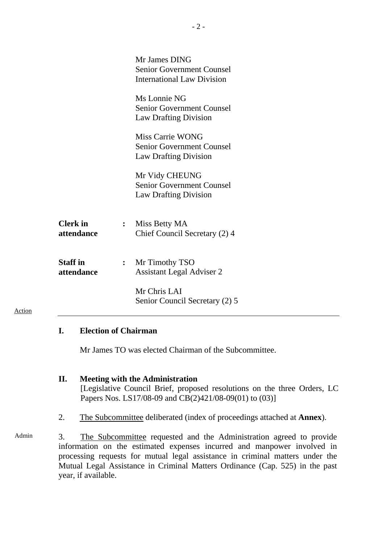|                               |                | Mr James DING<br><b>Senior Government Counsel</b><br><b>International Law Division</b> |
|-------------------------------|----------------|----------------------------------------------------------------------------------------|
|                               |                | Ms Lonnie NG<br><b>Senior Government Counsel</b><br><b>Law Drafting Division</b>       |
|                               |                | Miss Carrie WONG<br><b>Senior Government Counsel</b><br><b>Law Drafting Division</b>   |
|                               |                | Mr Vidy CHEUNG<br><b>Senior Government Counsel</b><br><b>Law Drafting Division</b>     |
| <b>Clerk</b> in<br>attendance | $\ddot{\cdot}$ | Miss Betty MA<br>Chief Council Secretary (2) 4                                         |
| <b>Staff</b> in<br>attendance | $\ddot{\cdot}$ | Mr Timothy TSO<br><b>Assistant Legal Adviser 2</b>                                     |
|                               |                | Mr Chris LAI<br>Senior Council Secretary (2) 5                                         |

### **I. Election of Chairman**

Action

Mr James TO was elected Chairman of the Subcommittee.

#### **II. Meeting with the Administration**

[Legislative Council Brief, proposed resolutions on the three Orders, LC Papers Nos. LS17/08-09 and CB(2)421/08-09(01) to (03)]

- 2. The Subcommittee deliberated (index of proceedings attached at **Annex**).
- Admin 3. The Subcommittee requested and the Administration agreed to provide information on the estimated expenses incurred and manpower involved in processing requests for mutual legal assistance in criminal matters under the Mutual Legal Assistance in Criminal Matters Ordinance (Cap. 525) in the past year, if available.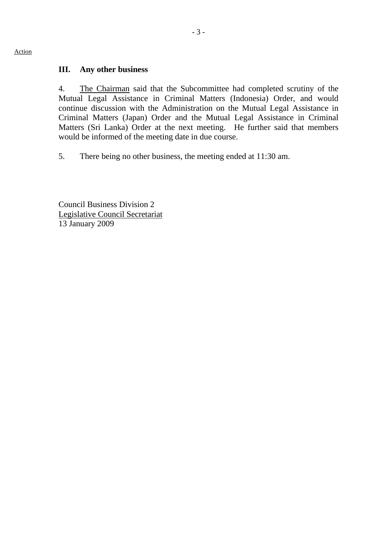# **III. Any other business**

4. The Chairman said that the Subcommittee had completed scrutiny of the Mutual Legal Assistance in Criminal Matters (Indonesia) Order, and would continue discussion with the Administration on the Mutual Legal Assistance in Criminal Matters (Japan) Order and the Mutual Legal Assistance in Criminal Matters (Sri Lanka) Order at the next meeting. He further said that members would be informed of the meeting date in due course.

5. There being no other business, the meeting ended at 11:30 am.

Council Business Division 2 Legislative Council Secretariat 13 January 2009

#### Action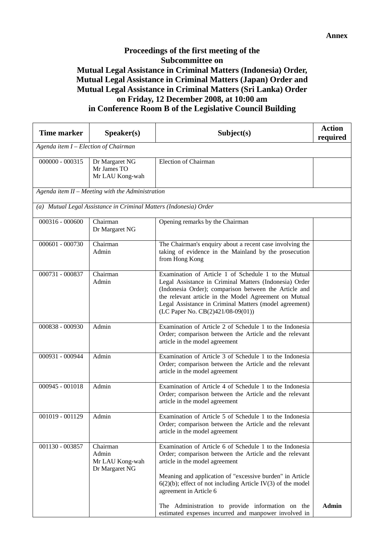# **Proceedings of the first meeting of the Subcommittee on Mutual Legal Assistance in Criminal Matters (Indonesia) Order, Mutual Legal Assistance in Criminal Matters (Japan) Order and Mutual Legal Assistance in Criminal Matters (Sri Lanka) Order on Friday, 12 December 2008, at 10:00 am in Conference Room B of the Legislative Council Building**

| <b>Time marker</b> | Speaker(s)                                                        | Subject(s)                                                                                                                                                                                                                                                                                                                      | <b>Action</b><br>required |  |  |
|--------------------|-------------------------------------------------------------------|---------------------------------------------------------------------------------------------------------------------------------------------------------------------------------------------------------------------------------------------------------------------------------------------------------------------------------|---------------------------|--|--|
|                    | Agenda item I - Election of Chairman                              |                                                                                                                                                                                                                                                                                                                                 |                           |  |  |
| $000000 - 000315$  | Dr Margaret NG<br>Mr James TO<br>Mr LAU Kong-wah                  | <b>Election of Chairman</b>                                                                                                                                                                                                                                                                                                     |                           |  |  |
|                    | Agenda item $II$ – Meeting with the Administration                |                                                                                                                                                                                                                                                                                                                                 |                           |  |  |
|                    | (a) Mutual Legal Assistance in Criminal Matters (Indonesia) Order |                                                                                                                                                                                                                                                                                                                                 |                           |  |  |
| 000316 - 000600    | Chairman<br>Dr Margaret NG                                        | Opening remarks by the Chairman                                                                                                                                                                                                                                                                                                 |                           |  |  |
| 000601 - 000730    | Chairman<br>Admin                                                 | The Chairman's enquiry about a recent case involving the<br>taking of evidence in the Mainland by the prosecution<br>from Hong Kong                                                                                                                                                                                             |                           |  |  |
| 000731 - 000837    | Chairman<br>Admin                                                 | Examination of Article 1 of Schedule 1 to the Mutual<br>Legal Assistance in Criminal Matters (Indonesia) Order<br>(Indonesia Order); comparison between the Article and<br>the relevant article in the Model Agreement on Mutual<br>Legal Assistance in Criminal Matters (model agreement)<br>(LC Paper No. CB(2)421/08-09(01)) |                           |  |  |
| 000838 - 000930    | Admin                                                             | Examination of Article 2 of Schedule 1 to the Indonesia<br>Order; comparison between the Article and the relevant<br>article in the model agreement                                                                                                                                                                             |                           |  |  |
| 000931 - 000944    | Admin                                                             | Examination of Article 3 of Schedule 1 to the Indonesia<br>Order; comparison between the Article and the relevant<br>article in the model agreement                                                                                                                                                                             |                           |  |  |
| 000945 - 001018    | Admin                                                             | Examination of Article 4 of Schedule 1 to the Indonesia<br>Order; comparison between the Article and the relevant<br>article in the model agreement                                                                                                                                                                             |                           |  |  |
| 001019 - 001129    | Admin                                                             | Examination of Article 5 of Schedule 1 to the Indonesia<br>Order; comparison between the Article and the relevant<br>article in the model agreement                                                                                                                                                                             |                           |  |  |
| 001130 - 003857    | Chairman<br>Admin<br>Mr LAU Kong-wah<br>Dr Margaret NG            | Examination of Article 6 of Schedule 1 to the Indonesia<br>Order; comparison between the Article and the relevant<br>article in the model agreement<br>Meaning and application of "excessive burden" in Article<br>$6(2)(b)$ ; effect of not including Article IV(3) of the model<br>agreement in Article 6                     |                           |  |  |
|                    |                                                                   | The Administration to provide information on the<br>estimated expenses incurred and manpower involved in                                                                                                                                                                                                                        | <b>Admin</b>              |  |  |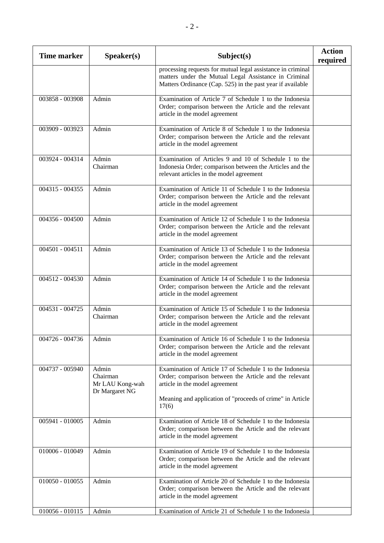| <b>Time marker</b> | Speaker(s)                                             | Subject(s)                                                                                                                                                                                                                 | <b>Action</b><br>required |
|--------------------|--------------------------------------------------------|----------------------------------------------------------------------------------------------------------------------------------------------------------------------------------------------------------------------------|---------------------------|
|                    |                                                        | processing requests for mutual legal assistance in criminal<br>matters under the Mutual Legal Assistance in Criminal<br>Matters Ordinance (Cap. 525) in the past year if available                                         |                           |
| 003858 - 003908    | Admin                                                  | Examination of Article 7 of Schedule 1 to the Indonesia<br>Order; comparison between the Article and the relevant<br>article in the model agreement                                                                        |                           |
| 003909 - 003923    | Admin                                                  | Examination of Article 8 of Schedule 1 to the Indonesia<br>Order; comparison between the Article and the relevant<br>article in the model agreement                                                                        |                           |
| 003924 - 004314    | Admin<br>Chairman                                      | Examination of Articles 9 and 10 of Schedule 1 to the<br>Indonesia Order; comparison between the Articles and the<br>relevant articles in the model agreement                                                              |                           |
| 004315 - 004355    | Admin                                                  | Examination of Article 11 of Schedule 1 to the Indonesia<br>Order; comparison between the Article and the relevant<br>article in the model agreement                                                                       |                           |
| 004356 - 004500    | Admin                                                  | Examination of Article 12 of Schedule 1 to the Indonesia<br>Order; comparison between the Article and the relevant<br>article in the model agreement                                                                       |                           |
| $004501 - 004511$  | Admin                                                  | Examination of Article 13 of Schedule 1 to the Indonesia<br>Order; comparison between the Article and the relevant<br>article in the model agreement                                                                       |                           |
| 004512 - 004530    | Admin                                                  | Examination of Article 14 of Schedule 1 to the Indonesia<br>Order; comparison between the Article and the relevant<br>article in the model agreement                                                                       |                           |
| 004531 - 004725    | Admin<br>Chairman                                      | Examination of Article 15 of Schedule 1 to the Indonesia<br>Order; comparison between the Article and the relevant<br>article in the model agreement                                                                       |                           |
| 004726 - 004736    | Admin                                                  | Examination of Article 16 of Schedule 1 to the Indonesia<br>Order; comparison between the Article and the relevant<br>article in the model agreement                                                                       |                           |
| 004737 - 005940    | Admin<br>Chairman<br>Mr LAU Kong-wah<br>Dr Margaret NG | Examination of Article 17 of Schedule 1 to the Indonesia<br>Order; comparison between the Article and the relevant<br>article in the model agreement<br>Meaning and application of "proceeds of crime" in Article<br>17(6) |                           |
| 005941 - 010005    | Admin                                                  | Examination of Article 18 of Schedule 1 to the Indonesia<br>Order; comparison between the Article and the relevant<br>article in the model agreement                                                                       |                           |
| 010006 - 010049    | Admin                                                  | Examination of Article 19 of Schedule 1 to the Indonesia<br>Order; comparison between the Article and the relevant<br>article in the model agreement                                                                       |                           |
| $010050 - 010055$  | Admin                                                  | Examination of Article 20 of Schedule 1 to the Indonesia<br>Order; comparison between the Article and the relevant<br>article in the model agreement                                                                       |                           |
| $010056 - 010115$  | Admin                                                  | Examination of Article 21 of Schedule 1 to the Indonesia                                                                                                                                                                   |                           |